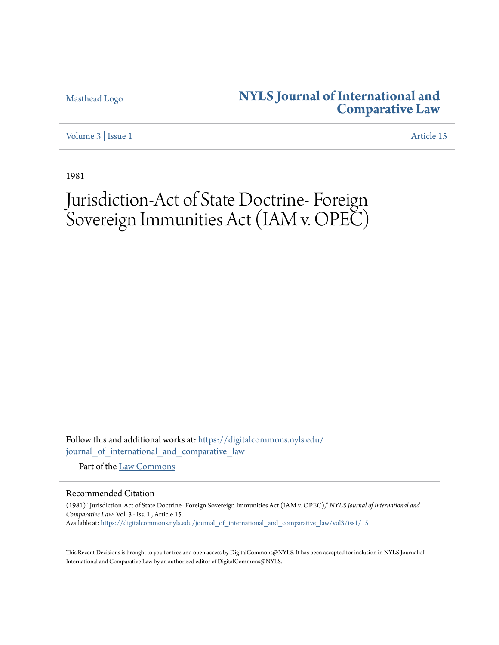## [Masthead Logo](http://www.nyls.edu/?utm_source=digitalcommons.nyls.edu%2Fjournal_of_international_and_comparative_law%2Fvol3%2Fiss1%2F15&utm_medium=PDF&utm_campaign=PDFCoverPages) **[NYLS Journal of International and](https://digitalcommons.nyls.edu/journal_of_international_and_comparative_law?utm_source=digitalcommons.nyls.edu%2Fjournal_of_international_and_comparative_law%2Fvol3%2Fiss1%2F15&utm_medium=PDF&utm_campaign=PDFCoverPages) [Comparative Law](https://digitalcommons.nyls.edu/journal_of_international_and_comparative_law?utm_source=digitalcommons.nyls.edu%2Fjournal_of_international_and_comparative_law%2Fvol3%2Fiss1%2F15&utm_medium=PDF&utm_campaign=PDFCoverPages)**

[Volume 3](https://digitalcommons.nyls.edu/journal_of_international_and_comparative_law/vol3?utm_source=digitalcommons.nyls.edu%2Fjournal_of_international_and_comparative_law%2Fvol3%2Fiss1%2F15&utm_medium=PDF&utm_campaign=PDFCoverPages) | [Issue 1](https://digitalcommons.nyls.edu/journal_of_international_and_comparative_law/vol3/iss1?utm_source=digitalcommons.nyls.edu%2Fjournal_of_international_and_comparative_law%2Fvol3%2Fiss1%2F15&utm_medium=PDF&utm_campaign=PDFCoverPages) [Article 15](https://digitalcommons.nyls.edu/journal_of_international_and_comparative_law/vol3/iss1/15?utm_source=digitalcommons.nyls.edu%2Fjournal_of_international_and_comparative_law%2Fvol3%2Fiss1%2F15&utm_medium=PDF&utm_campaign=PDFCoverPages)

1981

## Jurisdiction-Act of State Doctrine- Foreign Sovereign Immunities Act (IAM v. OPEC)

Follow this and additional works at: [https://digitalcommons.nyls.edu/](https://digitalcommons.nyls.edu/journal_of_international_and_comparative_law?utm_source=digitalcommons.nyls.edu%2Fjournal_of_international_and_comparative_law%2Fvol3%2Fiss1%2F15&utm_medium=PDF&utm_campaign=PDFCoverPages) [journal\\_of\\_international\\_and\\_comparative\\_law](https://digitalcommons.nyls.edu/journal_of_international_and_comparative_law?utm_source=digitalcommons.nyls.edu%2Fjournal_of_international_and_comparative_law%2Fvol3%2Fiss1%2F15&utm_medium=PDF&utm_campaign=PDFCoverPages)

Part of the [Law Commons](http://network.bepress.com/hgg/discipline/578?utm_source=digitalcommons.nyls.edu%2Fjournal_of_international_and_comparative_law%2Fvol3%2Fiss1%2F15&utm_medium=PDF&utm_campaign=PDFCoverPages)

## Recommended Citation

(1981) "Jurisdiction-Act of State Doctrine- Foreign Sovereign Immunities Act (IAM v. OPEC)," *NYLS Journal of International and Comparative Law*: Vol. 3 : Iss. 1 , Article 15. Available at: [https://digitalcommons.nyls.edu/journal\\_of\\_international\\_and\\_comparative\\_law/vol3/iss1/15](https://digitalcommons.nyls.edu/journal_of_international_and_comparative_law/vol3/iss1/15?utm_source=digitalcommons.nyls.edu%2Fjournal_of_international_and_comparative_law%2Fvol3%2Fiss1%2F15&utm_medium=PDF&utm_campaign=PDFCoverPages)

This Recent Decisions is brought to you for free and open access by DigitalCommons@NYLS. It has been accepted for inclusion in NYLS Journal of International and Comparative Law by an authorized editor of DigitalCommons@NYLS.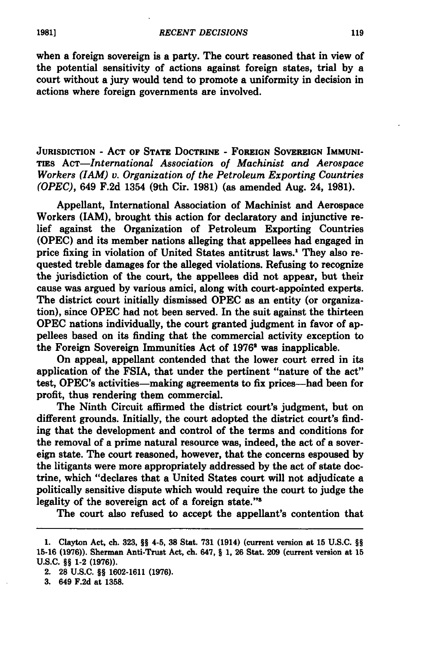when a foreign sovereign is a party. The court reasoned that in view of the potential sensitivity of actions against foreign states, trial **by** a court without a jury would tend to promote a uniformity in decision in actions where foreign governments are involved.

**JURISDICTION - ACT OF STATE DOCTRINE - FOREIGN SOVEREIGN IMMUNI-TIES** *AcT-International Association of Machinist and Aerospace Workers (IAM) v. Organization of the Petroleum Exporting Countries (OPEC),* 649 **F.2d** 1354 (9th Cir. **1981)** (as amended Aug. 24, **1981).**

Appellant, International Association of Machinist and Aerospace Workers (TAM), brought this action for declaratory and injunctive relief against the Organization of Petroleum Exporting Countries **(OPEC)** and its member nations alleging that appellees had engaged in price fixing in violation of United States antitrust laws.' They also requested treble damages for the alleged violations. Refusing to recognize the jurisdiction of the court, the appellees did not appear, but their cause was argued **by** various amici, along with court-appointed experts. The district court initially dismissed **OPEC** as an entity (or organization), since **OPEC** had not been served. In the suit against the thirteen **OPEC** nations individually, the court granted judgment in favor of appellees based on its finding that the commercial activity exception to the Foreign Sovereign Immunities Act of **1976'** was inapplicable.

On appeal, appellant contended that the lower court erred in its application of the FSIA, that under the pertinent "nature of the act" test, OPEC's activities—making agreements to fix prices—had been for profit, thus rendering them commercial.

The Ninth Circuit affirmed the district court's judgment, but on different grounds. Initially, the court adopted the district court's finding that the development and control of the terms and conditions for the removal of a prime natural resource was, indeed, the act of a sovereign state. The court reasoned, however, that the concerns espoused **by** the litigants were more appropriately addressed **by** the act of state doctrine, which "declares that a United States court will not adjudicate a politically sensitive dispute which would require the court to judge the legality of the sovereign act of a foreign state."

The court also refused to accept the appellant's contention that

**3.** 649 **F.2d** at **1358.**

**1981]**

**<sup>1.</sup>** Clayton Act, ch. **323,** §§ 4-5, **38** Stat. **731** (1914) (current version at **15 U.S.C.** §§ **15-16 (1976)).** Sherman Anti-Trust Act, ch. 647, **§ 1, 26** Stat. **209** (current version at **<sup>15</sup> U.S.C.** §§ 1-2 **(1976)).**

<sup>2.</sup> **28 U.S.C.** §§ **1602-1611 (1976).**